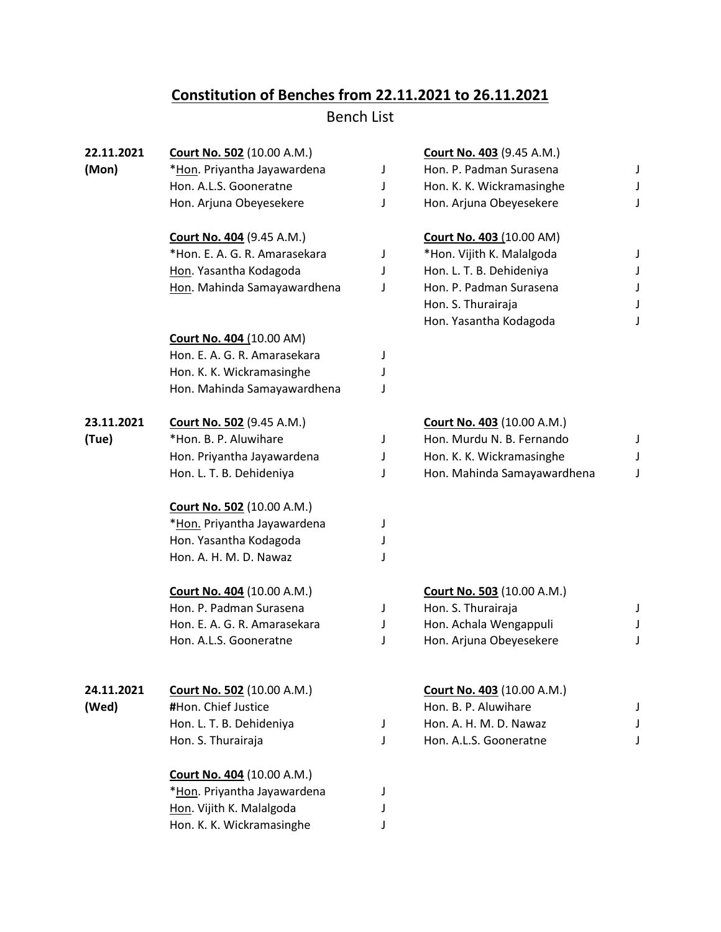## **Constitution of Benches from 22.11.2021 to 26.11.2021**

Bench List

| 22.11.2021 | <b>Court No. 502 (10.00 A.M.)</b> |   | Court No. 403 (9.45 A.M.)         |   |
|------------|-----------------------------------|---|-----------------------------------|---|
| (Mon)      | *Hon. Priyantha Jayawardena       | J | Hon. P. Padman Surasena           | J |
|            | Hon. A.L.S. Gooneratne            | J | Hon. K. K. Wickramasinghe         |   |
|            | Hon. Arjuna Obeyesekere           | J | Hon. Arjuna Obeyesekere           | J |
|            | <b>Court No. 404 (9.45 A.M.)</b>  |   | <b>Court No. 403 (10.00 AM)</b>   |   |
|            | *Hon. E. A. G. R. Amarasekara     | J | *Hon. Vijith K. Malalgoda         | J |
|            | Hon. Yasantha Kodagoda            | J | Hon. L. T. B. Dehideniya          | J |
|            | Hon. Mahinda Samayawardhena       | J | Hon. P. Padman Surasena           |   |
|            |                                   |   | Hon. S. Thurairaja                | J |
|            |                                   |   | Hon. Yasantha Kodagoda            |   |
|            | <b>Court No. 404 (10.00 AM)</b>   |   |                                   |   |
|            | Hon. E. A. G. R. Amarasekara      | J |                                   |   |
|            | Hon. K. K. Wickramasinghe         | J |                                   |   |
|            | Hon. Mahinda Samayawardhena       | J |                                   |   |
| 23.11.2021 | <b>Court No. 502 (9.45 A.M.)</b>  |   | <b>Court No. 403 (10.00 A.M.)</b> |   |
| (Tue)      | *Hon. B. P. Aluwihare             | J | Hon. Murdu N. B. Fernando         | J |
|            | Hon. Priyantha Jayawardena        | J | Hon. K. K. Wickramasinghe         |   |
|            | Hon. L. T. B. Dehideniya          | J | Hon. Mahinda Samayawardhena       | J |
|            | <b>Court No. 502 (10.00 A.M.)</b> |   |                                   |   |
|            | *Hon. Priyantha Jayawardena       | J |                                   |   |
|            | Hon. Yasantha Kodagoda            | J |                                   |   |
|            | Hon. A. H. M. D. Nawaz            | J |                                   |   |
|            | <b>Court No. 404 (10.00 A.M.)</b> |   | <b>Court No. 503 (10.00 A.M.)</b> |   |
|            | Hon. P. Padman Surasena           | J | Hon. S. Thurairaja                | J |
|            | Hon. E. A. G. R. Amarasekara      | J | Hon. Achala Wengappuli            |   |
|            | Hon. A.L.S. Gooneratne            | J | Hon. Arjuna Obeyesekere           | J |
| 24.11.2021 | Court No. 502 (10.00 A.M.)        |   | Court No. 403 (10.00 A.M.)        |   |
| (Wed)      | #Hon. Chief Justice               |   | Hon. B. P. Aluwihare              |   |
|            | Hon. L. T. B. Dehideniya          | J | Hon. A. H. M. D. Nawaz            |   |
|            | Hon. S. Thurairaja                | J | Hon. A.L.S. Gooneratne            |   |
|            |                                   |   |                                   |   |
|            | Court No. 404 (10.00 A.M.)        |   |                                   |   |
|            | *Hon. Priyantha Jayawardena       | J |                                   |   |
|            | Hon. Vijith K. Malalgoda          | J |                                   |   |
|            | Hon. K. K. Wickramasinghe         | J |                                   |   |